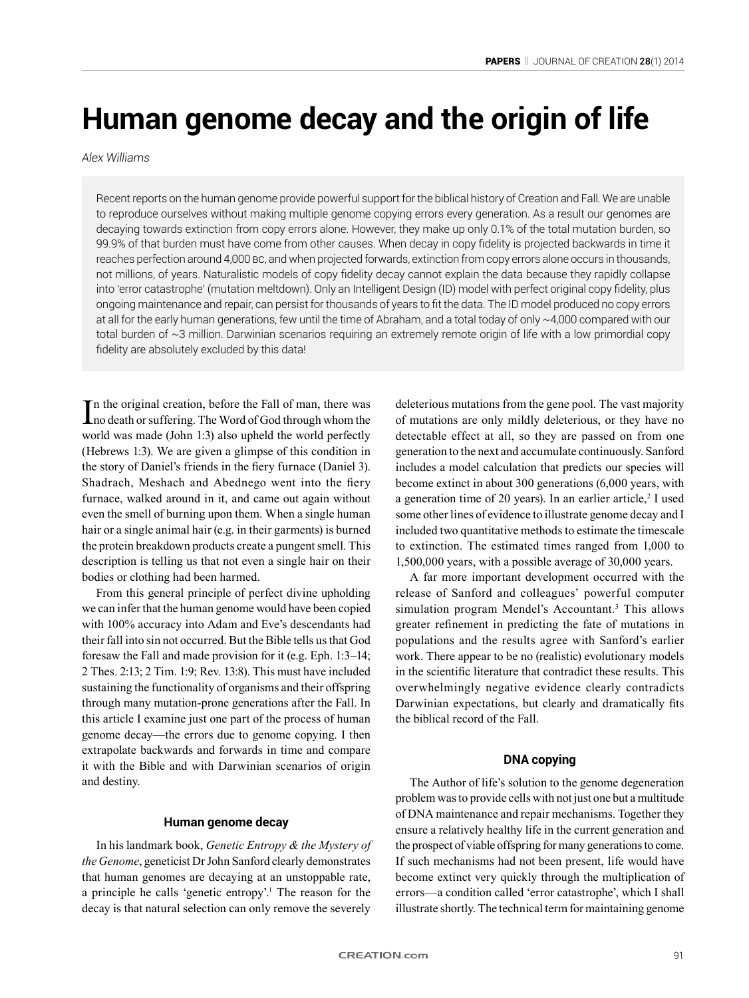# **Human genome decay and the origin of life**

## *Alex Williams*

Recent reports on the human genome provide powerful support for the biblical history of Creation and Fall. We are unable to reproduce ourselves without making multiple genome copying errors every generation. As a result our genomes are decaying towards extinction from copy errors alone. However, they make up only 0.1% of the total mutation burden, so 99.9% of that burden must have come from other causes. When decay in copy fidelity is projected backwards in time it reaches perfection around 4,000 BC, and when projected forwards, extinction from copy errors alone occurs in thousands, not millions, of years. Naturalistic models of copy fidelity decay cannot explain the data because they rapidly collapse into 'error catastrophe' (mutation meltdown). Only an Intelligent Design (ID) model with perfect original copy fidelity, plus ongoing maintenance and repair, can persist for thousands of years to fit the data. The ID model produced no copy errors at all for the early human generations, few until the time of Abraham, and a total today of only ~4,000 compared with our total burden of ~3 million. Darwinian scenarios requiring an extremely remote origin of life with a low primordial copy fidelity are absolutely excluded by this data!

In the original creation, before the Fall of man, there was<br>no death or suffering. The Word of God through whom the n the original creation, before the Fall of man, there was world was made (John 1:3) also upheld the world perfectly (Hebrews 1:3). We are given a glimpse of this condition in the story of Daniel's friends in the fiery furnace (Daniel 3). Shadrach, Meshach and Abednego went into the fiery furnace, walked around in it, and came out again without even the smell of burning upon them. When a single human hair or a single animal hair (e.g. in their garments) is burned the protein breakdown products create a pungent smell. This description is telling us that not even a single hair on their bodies or clothing had been harmed.

From this general principle of perfect divine upholding we can infer that the human genome would have been copied with 100% accuracy into Adam and Eve's descendants had their fall into sin not occurred. But the Bible tells us that God foresaw the Fall and made provision for it (e.g. Eph. 1:3–14; 2 Thes. 2:13; 2 Tim. 1:9; Rev. 13:8). This must have included sustaining the functionality of organisms and their offspring through many mutation-prone generations after the Fall. In this article I examine just one part of the process of human genome decay—the errors due to genome copying. I then extrapolate backwards and forwards in time and compare it with the Bible and with Darwinian scenarios of origin and destiny.

#### **Human genome decay**

In his landmark book, *Genetic Entropy & the Mystery of the Genome*, geneticist Dr John Sanford clearly demonstrates that human genomes are decaying at an unstoppable rate, a principle he calls 'genetic entropy'.<sup>1</sup> The reason for the decay is that natural selection can only remove the severely

deleterious mutations from the gene pool. The vast majority of mutations are only mildly deleterious, or they have no detectable effect at all, so they are passed on from one generation to the next and accumulate continuously. Sanford includes a model calculation that predicts our species will become extinct in about 300 generations (6,000 years, with a generation time of 20 years). In an earlier article,<sup>2</sup> I used some other lines of evidence to illustrate genome decay and I included two quantitative methods to estimate the timescale to extinction. The estimated times ranged from 1,000 to 1,500,000 years, with a possible average of 30,000 years.

A far more important development occurred with the release of Sanford and colleagues' powerful computer simulation program Mendel's Accountant*.* 3 This allows greater refinement in predicting the fate of mutations in populations and the results agree with Sanford's earlier work. There appear to be no (realistic) evolutionary models in the scientific literature that contradict these results. This overwhelmingly negative evidence clearly contradicts Darwinian expectations, but clearly and dramatically fits the biblical record of the Fall.

# **DNA copying**

The Author of life's solution to the genome degeneration problem was to provide cells with not just one but a multitude of DNA maintenance and repair mechanisms. Together they ensure a relatively healthy life in the current generation and the prospect of viable offspring for many generations to come. If such mechanisms had not been present, life would have become extinct very quickly through the multiplication of errors—a condition called 'error catastrophe', which I shall illustrate shortly. The technical term for maintaining genome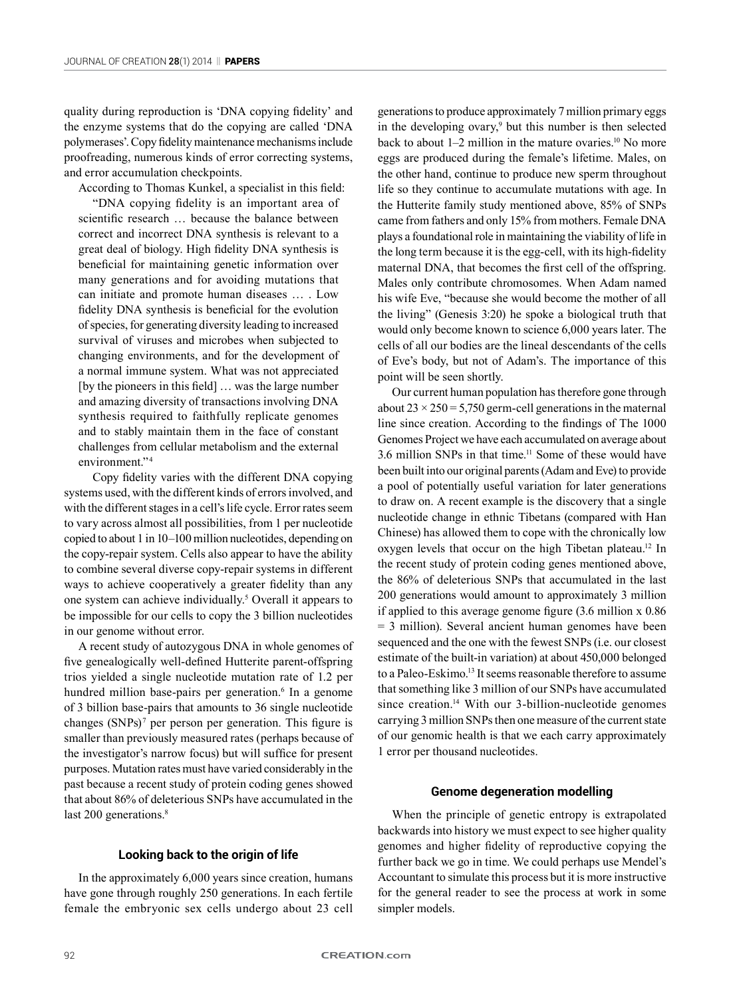quality during reproduction is 'DNA copying fidelity' and the enzyme systems that do the copying are called 'DNA polymerases'. Copy fidelity maintenance mechanisms include proofreading, numerous kinds of error correcting systems, and error accumulation checkpoints.

According to Thomas Kunkel, a specialist in this field:

"DNA copying fidelity is an important area of scientific research … because the balance between correct and incorrect DNA synthesis is relevant to a great deal of biology. High fidelity DNA synthesis is beneficial for maintaining genetic information over many generations and for avoiding mutations that can initiate and promote human diseases … . Low fidelity DNA synthesis is beneficial for the evolution of species, for generating diversity leading to increased survival of viruses and microbes when subjected to changing environments, and for the development of a normal immune system. What was not appreciated [by the pioneers in this field] … was the large number and amazing diversity of transactions involving DNA synthesis required to faithfully replicate genomes and to stably maintain them in the face of constant challenges from cellular metabolism and the external environment."<sup>4</sup>

Copy fidelity varies with the different DNA copying systems used, with the different kinds of errors involved, and with the different stages in a cell's life cycle. Error rates seem to vary across almost all possibilities, from 1 per nucleotide copied to about 1 in 10–100 million nucleotides, depending on the copy-repair system. Cells also appear to have the ability to combine several diverse copy-repair systems in different ways to achieve cooperatively a greater fidelity than any one system can achieve individually.5 Overall it appears to be impossible for our cells to copy the 3 billion nucleotides in our genome without error.

A recent study of autozygous DNA in whole genomes of five genealogically well-defined Hutterite parent-offspring trios yielded a single nucleotide mutation rate of 1.2 per hundred million base-pairs per generation.<sup>6</sup> In a genome of 3 billion base-pairs that amounts to 36 single nucleotide changes (SNPs)<sup>7</sup> per person per generation. This figure is smaller than previously measured rates (perhaps because of the investigator's narrow focus) but will suffice for present purposes. Mutation rates must have varied considerably in the past because a recent study of protein coding genes showed that about 86% of deleterious SNPs have accumulated in the last 200 generations.<sup>8</sup>

# **Looking back to the origin of life**

In the approximately 6,000 years since creation, humans have gone through roughly 250 generations. In each fertile female the embryonic sex cells undergo about 23 cell

generations to produce approximately 7 million primary eggs in the developing ovary,<sup>9</sup> but this number is then selected back to about 1–2 million in the mature ovaries.<sup>10</sup> No more eggs are produced during the female's lifetime. Males, on the other hand, continue to produce new sperm throughout life so they continue to accumulate mutations with age. In the Hutterite family study mentioned above, 85% of SNPs came from fathers and only 15% from mothers. Female DNA plays a foundational role in maintaining the viability of life in the long term because it is the egg-cell, with its high-fidelity maternal DNA, that becomes the first cell of the offspring. Males only contribute chromosomes. When Adam named his wife Eve, "because she would become the mother of all the living" (Genesis 3:20) he spoke a biological truth that would only become known to science 6,000 years later. The cells of all our bodies are the lineal descendants of the cells of Eve's body, but not of Adam's. The importance of this point will be seen shortly.

Our current human population has therefore gone through about  $23 \times 250 = 5,750$  germ-cell generations in the maternal line since creation. According to the findings of The 1000 Genomes Project we have each accumulated on average about 3.6 million SNPs in that time.11 Some of these would have been built into our original parents (Adam and Eve) to provide a pool of potentially useful variation for later generations to draw on. A recent example is the discovery that a single nucleotide change in ethnic Tibetans (compared with Han Chinese) has allowed them to cope with the chronically low oxygen levels that occur on the high Tibetan plateau.<sup>12</sup> In the recent study of protein coding genes mentioned above, the 86% of deleterious SNPs that accumulated in the last 200 generations would amount to approximately 3 million if applied to this average genome figure (3.6 million x 0.86 = 3 million). Several ancient human genomes have been sequenced and the one with the fewest SNPs (i.e. our closest estimate of the built-in variation) at about 450,000 belonged to a Paleo-Eskimo.<sup>13</sup> It seems reasonable therefore to assume that something like 3 million of our SNPs have accumulated since creation.<sup>14</sup> With our 3-billion-nucleotide genomes carrying 3 million SNPs then one measure of the current state of our genomic health is that we each carry approximately 1 error per thousand nucleotides.

## **Genome degeneration modelling**

When the principle of genetic entropy is extrapolated backwards into history we must expect to see higher quality genomes and higher fidelity of reproductive copying the further back we go in time. We could perhaps use Mendel's Accountant to simulate this process but it is more instructive for the general reader to see the process at work in some simpler models.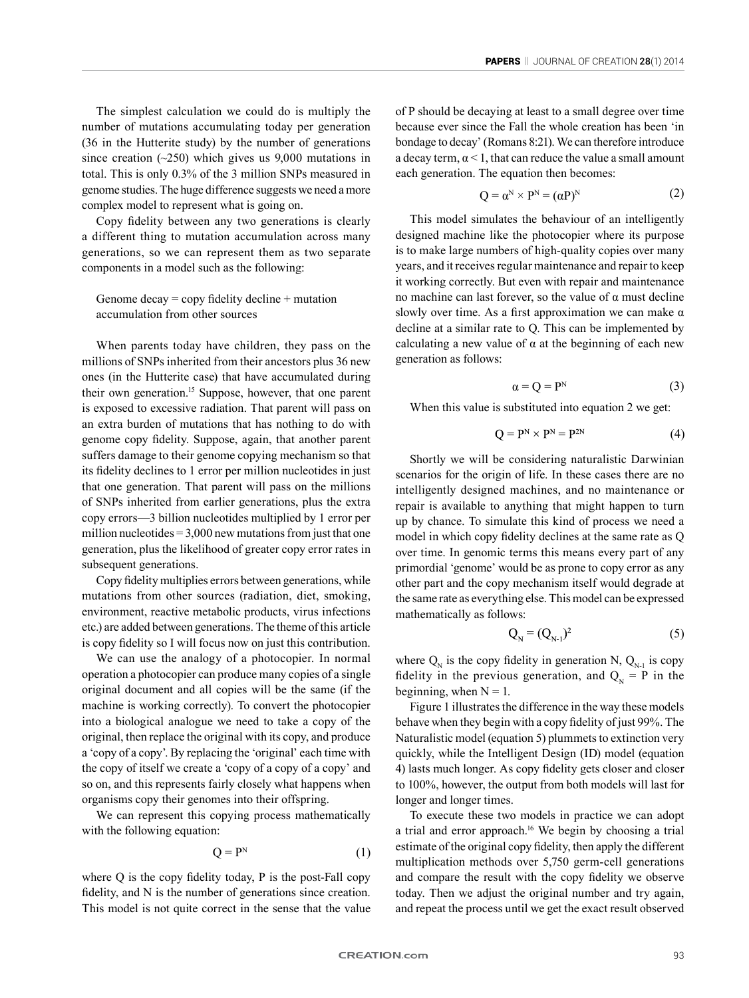The simplest calculation we could do is multiply the number of mutations accumulating today per generation (36 in the Hutterite study) by the number of generations since creation  $(-250)$  which gives us 9,000 mutations in total. This is only 0.3% of the 3 million SNPs measured in genome studies. The huge difference suggests we need a more complex model to represent what is going on.

Copy fidelity between any two generations is clearly a different thing to mutation accumulation across many generations, so we can represent them as two separate components in a model such as the following:

Genome decay  $=$  copy fidelity decline  $+$  mutation accumulation from other sources

When parents today have children, they pass on the millions of SNPs inherited from their ancestors plus 36 new ones (in the Hutterite case) that have accumulated during their own generation.15 Suppose, however, that one parent is exposed to excessive radiation. That parent will pass on an extra burden of mutations that has nothing to do with genome copy fidelity. Suppose, again, that another parent suffers damage to their genome copying mechanism so that its fidelity declines to 1 error per million nucleotides in just that one generation. That parent will pass on the millions of SNPs inherited from earlier generations, plus the extra copy errors—3 billion nucleotides multiplied by 1 error per million nucleotides  $= 3,000$  new mutations from just that one generation, plus the likelihood of greater copy error rates in subsequent generations.

Copy fidelity multiplies errors between generations, while mutations from other sources (radiation, diet, smoking, environment, reactive metabolic products, virus infections etc.) are added between generations. The theme of this article is copy fidelity so I will focus now on just this contribution.

We can use the analogy of a photocopier. In normal operation a photocopier can produce many copies of a single original document and all copies will be the same (if the machine is working correctly). To convert the photocopier into a biological analogue we need to take a copy of the original, then replace the original with its copy, and produce a 'copy of a copy'. By replacing the 'original' each time with the copy of itself we create a 'copy of a copy of a copy' and so on, and this represents fairly closely what happens when organisms copy their genomes into their offspring.

We can represent this copying process mathematically with the following equation:

$$
Q = P^N \tag{1}
$$

where Q is the copy fidelity today, P is the post-Fall copy fidelity, and N is the number of generations since creation. This model is not quite correct in the sense that the value of P should be decaying at least to a small degree over time because ever since the Fall the whole creation has been 'in bondage to decay' (Romans 8:21). We can therefore introduce a decay term,  $\alpha$  < 1, that can reduce the value a small amount each generation. The equation then becomes:

$$
Q = \alpha^N \times P^N = (\alpha P)^N \tag{2}
$$

This model simulates the behaviour of an intelligently designed machine like the photocopier where its purpose is to make large numbers of high-quality copies over many years, and it receives regular maintenance and repair to keep it working correctly. But even with repair and maintenance no machine can last forever, so the value of α must decline slowly over time. As a first approximation we can make  $\alpha$ decline at a similar rate to Q. This can be implemented by calculating a new value of  $\alpha$  at the beginning of each new generation as follows:

$$
\alpha = Q = P^N \tag{3}
$$

When this value is substituted into equation 2 we get:

$$
Q = P^N \times P^N = P^{2N} \tag{4}
$$

Shortly we will be considering naturalistic Darwinian scenarios for the origin of life. In these cases there are no intelligently designed machines, and no maintenance or repair is available to anything that might happen to turn up by chance. To simulate this kind of process we need a model in which copy fidelity declines at the same rate as Q over time. In genomic terms this means every part of any primordial 'genome' would be as prone to copy error as any other part and the copy mechanism itself would degrade at the same rate as everything else. This model can be expressed mathematically as follows:

$$
Q_N = (Q_{N-1})^2 \tag{5}
$$

where  $Q_N$  is the copy fidelity in generation N,  $Q_{N-1}$  is copy fidelity in the previous generation, and  $Q_N = P$  in the beginning, when  $N = 1$ .

Figure 1 illustrates the difference in the way these models behave when they begin with a copy fidelity of just 99%. The Naturalistic model (equation 5) plummets to extinction very quickly, while the Intelligent Design (ID) model (equation 4) lasts much longer. As copy fidelity gets closer and closer to 100%, however, the output from both models will last for longer and longer times.

To execute these two models in practice we can adopt a trial and error approach.16 We begin by choosing a trial estimate of the original copy fidelity, then apply the different multiplication methods over 5,750 germ-cell generations and compare the result with the copy fidelity we observe today. Then we adjust the original number and try again, and repeat the process until we get the exact result observed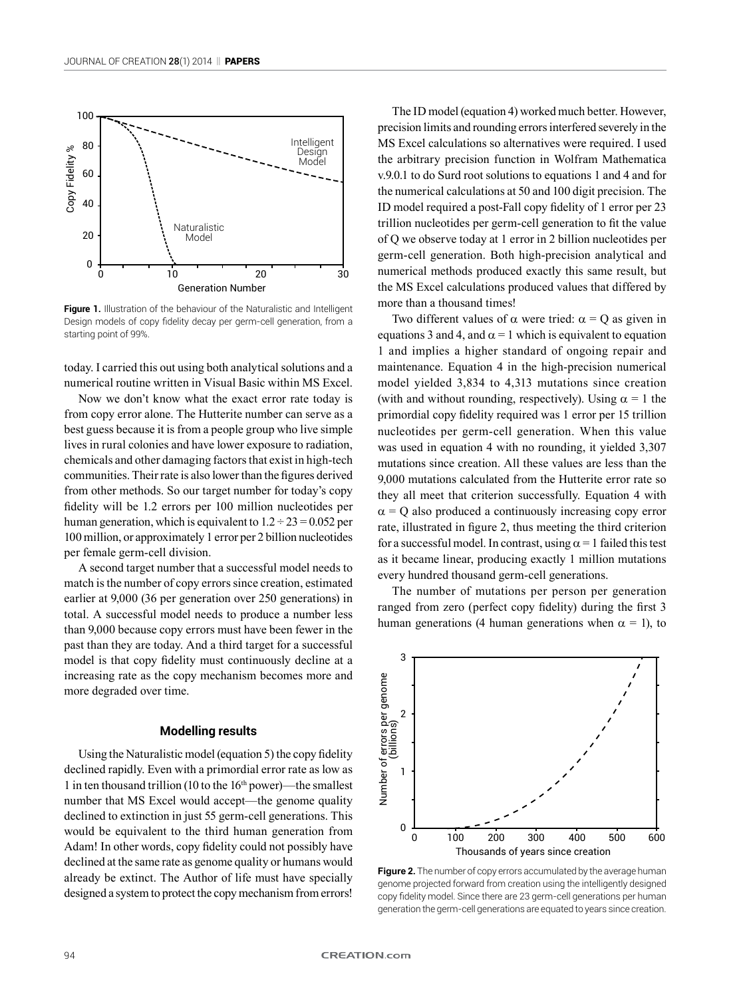

**Figure 1.** Illustration of the behaviour of the Naturalistic and Intelligent Design models of copy fidelity decay per germ-cell generation, from a starting point of 99%.

today. I carried this out using both analytical solutions and a numerical routine written in Visual Basic within MS Excel.

Now we don't know what the exact error rate today is from copy error alone. The Hutterite number can serve as a best guess because it is from a people group who live simple lives in rural colonies and have lower exposure to radiation, chemicals and other damaging factors that exist in high-tech communities. Their rate is also lower than the figures derived from other methods. So our target number for today's copy fidelity will be 1.2 errors per 100 million nucleotides per human generation, which is equivalent to  $1.2 \div 23 = 0.052$  per 100 million, or approximately 1 error per 2 billion nucleotides per female germ-cell division.

A second target number that a successful model needs to match is the number of copy errors since creation, estimated earlier at 9,000 (36 per generation over 250 generations) in total. A successful model needs to produce a number less than 9,000 because copy errors must have been fewer in the past than they are today. And a third target for a successful model is that copy fidelity must continuously decline at a increasing rate as the copy mechanism becomes more and more degraded over time.

## **Modelling results**

Using the Naturalistic model (equation 5) the copy fidelity declined rapidly. Even with a primordial error rate as low as 1 in ten thousand trillion (10 to the 16th power)—the smallest number that MS Excel would accept—the genome quality declined to extinction in just 55 germ-cell generations. This would be equivalent to the third human generation from Adam! In other words, copy fidelity could not possibly have declined at the same rate as genome quality or humans would already be extinct. The Author of life must have specially designed a system to protect the copy mechanism from errors!

The ID model (equation 4) worked much better. However, precision limits and rounding errors interfered severely in the MS Excel calculations so alternatives were required. I used the arbitrary precision function in Wolfram Mathematica v.9.0.1 to do Surd root solutions to equations 1 and 4 and for the numerical calculations at 50 and 100 digit precision. The ID model required a post-Fall copy fidelity of 1 error per 23 trillion nucleotides per germ-cell generation to fit the value of Q we observe today at 1 error in 2 billion nucleotides per germ-cell generation. Both high-precision analytical and numerical methods produced exactly this same result, but the MS Excel calculations produced values that differed by more than a thousand times!

Two different values of  $\alpha$  were tried:  $\alpha = Q$  as given in equations 3 and 4, and  $\alpha$  = 1 which is equivalent to equation 1 and implies a higher standard of ongoing repair and maintenance. Equation 4 in the high-precision numerical model yielded 3,834 to 4,313 mutations since creation (with and without rounding, respectively). Using  $\alpha = 1$  the primordial copy fidelity required was 1 error per 15 trillion nucleotides per germ-cell generation. When this value was used in equation 4 with no rounding, it yielded 3,307 mutations since creation. All these values are less than the 9,000 mutations calculated from the Hutterite error rate so they all meet that criterion successfully. Equation 4 with  $\alpha$  = Q also produced a continuously increasing copy error rate, illustrated in figure 2, thus meeting the third criterion for a successful model. In contrast, using  $\alpha = 1$  failed this test as it became linear, producing exactly 1 million mutations every hundred thousand germ-cell generations.

The number of mutations per person per generation ranged from zero (perfect copy fidelity) during the first 3 human generations (4 human generations when  $\alpha = 1$ ), to



**Figure 2.** The number of copy errors accumulated by the average human genome projected forward from creation using the intelligently designed copy fidelity model. Since there are 23 germ-cell generations per human generation the germ-cell generations are equated to years since creation.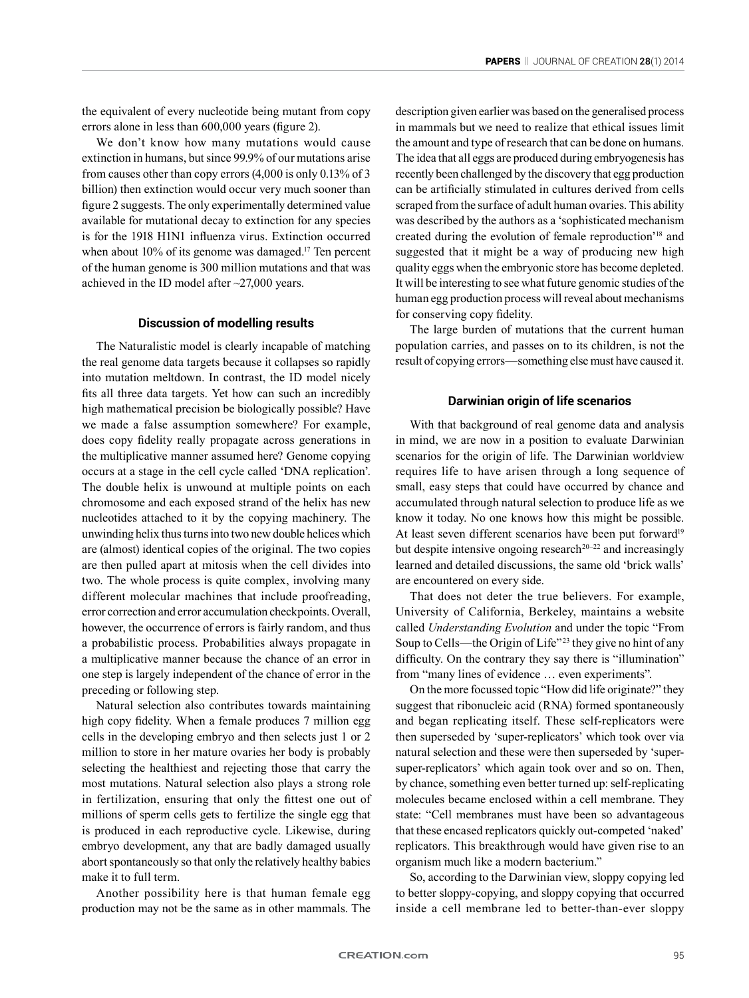the equivalent of every nucleotide being mutant from copy errors alone in less than 600,000 years (figure 2).

We don't know how many mutations would cause extinction in humans, but since 99.9% of our mutations arise from causes other than copy errors (4,000 is only 0.13% of 3 billion) then extinction would occur very much sooner than figure 2 suggests. The only experimentally determined value available for mutational decay to extinction for any species is for the 1918 H1N1 influenza virus. Extinction occurred when about  $10\%$  of its genome was damaged.<sup>17</sup> Ten percent of the human genome is 300 million mutations and that was achieved in the ID model after ~27,000 years.

## **Discussion of modelling results**

The Naturalistic model is clearly incapable of matching the real genome data targets because it collapses so rapidly into mutation meltdown. In contrast, the ID model nicely fits all three data targets. Yet how can such an incredibly high mathematical precision be biologically possible? Have we made a false assumption somewhere? For example, does copy fidelity really propagate across generations in the multiplicative manner assumed here? Genome copying occurs at a stage in the cell cycle called 'DNA replication'. The double helix is unwound at multiple points on each chromosome and each exposed strand of the helix has new nucleotides attached to it by the copying machinery. The unwinding helix thus turns into two new double helices which are (almost) identical copies of the original. The two copies are then pulled apart at mitosis when the cell divides into two. The whole process is quite complex, involving many different molecular machines that include proofreading, error correction and error accumulation checkpoints. Overall, however, the occurrence of errors is fairly random, and thus a probabilistic process. Probabilities always propagate in a multiplicative manner because the chance of an error in one step is largely independent of the chance of error in the preceding or following step.

Natural selection also contributes towards maintaining high copy fidelity. When a female produces 7 million egg cells in the developing embryo and then selects just 1 or 2 million to store in her mature ovaries her body is probably selecting the healthiest and rejecting those that carry the most mutations. Natural selection also plays a strong role in fertilization, ensuring that only the fittest one out of millions of sperm cells gets to fertilize the single egg that is produced in each reproductive cycle. Likewise, during embryo development, any that are badly damaged usually abort spontaneously so that only the relatively healthy babies make it to full term.

Another possibility here is that human female egg production may not be the same as in other mammals. The description given earlier was based on the generalised process in mammals but we need to realize that ethical issues limit the amount and type of research that can be done on humans. The idea that all eggs are produced during embryogenesis has recently been challenged by the discovery that egg production can be artificially stimulated in cultures derived from cells scraped from the surface of adult human ovaries. This ability was described by the authors as a 'sophisticated mechanism created during the evolution of female reproduction'18 and suggested that it might be a way of producing new high quality eggs when the embryonic store has become depleted. It will be interesting to see what future genomic studies of the human egg production process will reveal about mechanisms for conserving copy fidelity.

The large burden of mutations that the current human population carries, and passes on to its children, is not the result of copying errors—something else must have caused it.

# **Darwinian origin of life scenarios**

With that background of real genome data and analysis in mind, we are now in a position to evaluate Darwinian scenarios for the origin of life. The Darwinian worldview requires life to have arisen through a long sequence of small, easy steps that could have occurred by chance and accumulated through natural selection to produce life as we know it today. No one knows how this might be possible. At least seven different scenarios have been put forward<sup>19</sup> but despite intensive ongoing research<sup>20–22</sup> and increasingly learned and detailed discussions, the same old 'brick walls' are encountered on every side.

That does not deter the true believers. For example, University of California, Berkeley, maintains a website called *Understanding Evolution* and under the topic "From Soup to Cells—the Origin of Life"<sup>23</sup> they give no hint of any difficulty. On the contrary they say there is "illumination" from "many lines of evidence … even experiments".

On the more focussed topic "How did life originate?" they suggest that ribonucleic acid (RNA) formed spontaneously and began replicating itself. These self-replicators were then superseded by 'super-replicators' which took over via natural selection and these were then superseded by 'supersuper-replicators' which again took over and so on. Then, by chance, something even better turned up: self-replicating molecules became enclosed within a cell membrane. They state: "Cell membranes must have been so advantageous that these encased replicators quickly out-competed 'naked' replicators. This breakthrough would have given rise to an organism much like a modern bacterium."

So, according to the Darwinian view, sloppy copying led to better sloppy-copying, and sloppy copying that occurred inside a cell membrane led to better-than-ever sloppy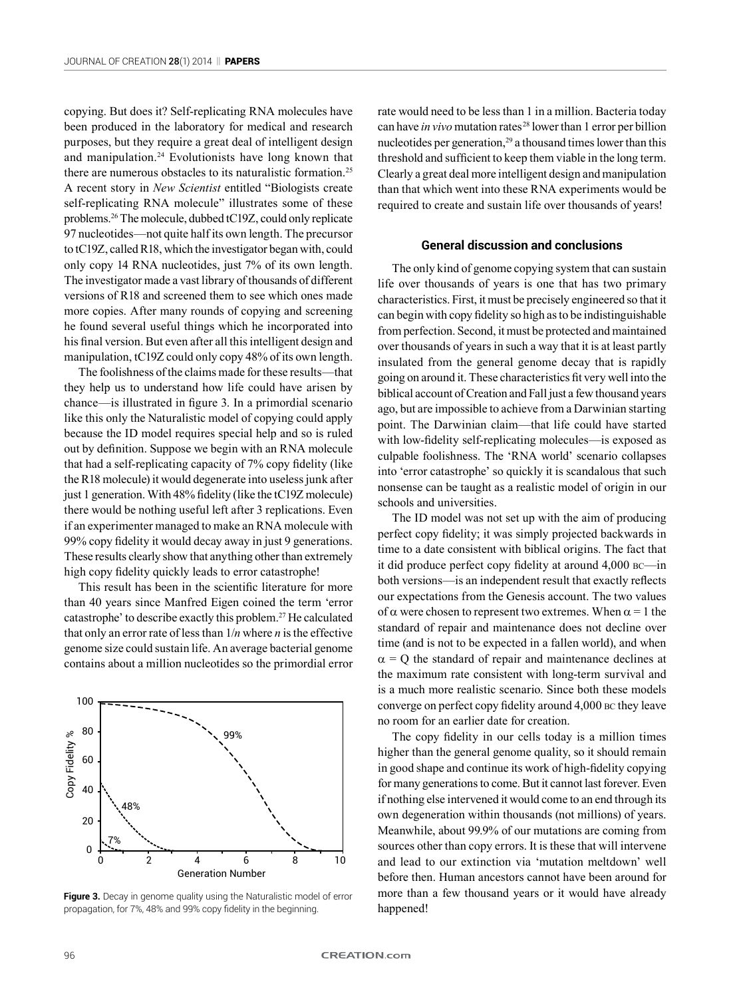copying. But does it? Self-replicating RNA molecules have been produced in the laboratory for medical and research purposes, but they require a great deal of intelligent design and manipulation.24 Evolutionists have long known that there are numerous obstacles to its naturalistic formation.25 A recent story in *New Scientist* entitled "Biologists create self-replicating RNA molecule" illustrates some of these problems.26 The molecule, dubbed tC19Z, could only replicate 97 nucleotides—not quite half its own length. The precursor to tC19Z, called R18, which the investigator began with, could only copy 14 RNA nucleotides, just 7% of its own length. The investigator made a vast library of thousands of different versions of R18 and screened them to see which ones made more copies. After many rounds of copying and screening he found several useful things which he incorporated into his final version. But even after all this intelligent design and manipulation, tC19Z could only copy 48% of its own length.

The foolishness of the claims made for these results—that they help us to understand how life could have arisen by chance—is illustrated in figure 3. In a primordial scenario like this only the Naturalistic model of copying could apply because the ID model requires special help and so is ruled out by definition. Suppose we begin with an RNA molecule that had a self-replicating capacity of 7% copy fidelity (like the R18 molecule) it would degenerate into useless junk after just 1 generation. With 48% fidelity (like the tC19Z molecule) there would be nothing useful left after 3 replications. Even if an experimenter managed to make an RNA molecule with 99% copy fidelity it would decay away in just 9 generations. These results clearly show that anything other than extremely high copy fidelity quickly leads to error catastrophe!

This result has been in the scientific literature for more than 40 years since Manfred Eigen coined the term 'error catastrophe' to describe exactly this problem.27 He calculated that only an error rate of less than 1/*n* where *n* is the effective genome size could sustain life. An average bacterial genome contains about a million nucleotides so the primordial error



**Figure 3.** Decay in genome quality using the Naturalistic model of error propagation, for 7%, 48% and 99% copy fidelity in the beginning.

rate would need to be less than 1 in a million. Bacteria today can have *in vivo* mutation rates 28 lower than 1 error per billion nucleotides per generation, $29$  a thousand times lower than this threshold and sufficient to keep them viable in the long term. Clearly a great deal more intelligent design and manipulation than that which went into these RNA experiments would be required to create and sustain life over thousands of years!

### **General discussion and conclusions**

The only kind of genome copying system that can sustain life over thousands of years is one that has two primary characteristics. First, it must be precisely engineered so that it can begin with copy fidelity so high as to be indistinguishable from perfection. Second, it must be protected and maintained over thousands of years in such a way that it is at least partly insulated from the general genome decay that is rapidly going on around it. These characteristics fit very well into the biblical account of Creation and Fall just a few thousand years ago, but are impossible to achieve from a Darwinian starting point. The Darwinian claim—that life could have started with low-fidelity self-replicating molecules—is exposed as culpable foolishness. The 'RNA world' scenario collapses into 'error catastrophe' so quickly it is scandalous that such nonsense can be taught as a realistic model of origin in our schools and universities.

The ID model was not set up with the aim of producing perfect copy fidelity; it was simply projected backwards in time to a date consistent with biblical origins. The fact that it did produce perfect copy fidelity at around 4,000 bc—in both versions—is an independent result that exactly reflects our expectations from the Genesis account. The two values of  $\alpha$  were chosen to represent two extremes. When  $\alpha = 1$  the standard of repair and maintenance does not decline over time (and is not to be expected in a fallen world), and when  $\alpha$  = Q the standard of repair and maintenance declines at the maximum rate consistent with long-term survival and is a much more realistic scenario. Since both these models converge on perfect copy fidelity around 4,000 bc they leave no room for an earlier date for creation.

The copy fidelity in our cells today is a million times higher than the general genome quality, so it should remain in good shape and continue its work of high-fidelity copying for many generations to come. But it cannot last forever. Even if nothing else intervened it would come to an end through its own degeneration within thousands (not millions) of years. Meanwhile, about 99.9% of our mutations are coming from sources other than copy errors. It is these that will intervene and lead to our extinction via 'mutation meltdown' well before then. Human ancestors cannot have been around for more than a few thousand years or it would have already happened!